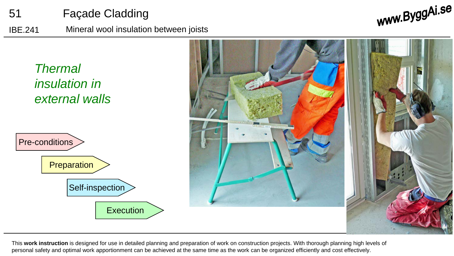

IBE.241 Mineral wool insulation between joists

www.ByggAi.se



This **work instruction** is designed for use in detailed planning and preparation of work on construction projects. With thorough planning high levels of personal safety and optimal work apportionment can be achieved at the same time as the work can be organized efficiently and cost effectively.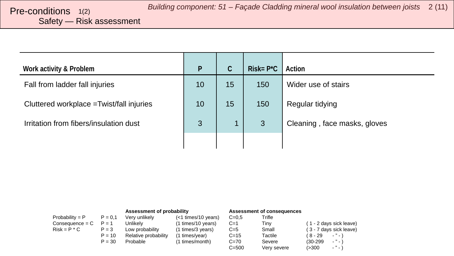# <span id="page-1-0"></span>Safety — Risk assessment

| Work activity & Problem                   | P  | C  | $Risk = P^*C$ | Action                       |
|-------------------------------------------|----|----|---------------|------------------------------|
| Fall from ladder fall injuries            | 10 | 15 | 150           | Wider use of stairs          |
| Cluttered workplace = Twist/fall injuries | 10 | 15 | 150           | Regular tidying              |
| Irritation from fibers/insulation dust    | 3  | 1  | 3             | Cleaning, face masks, gloves |
|                                           |    |    |               |                              |

|                   |           | Assessment of probability |                       | Assessment of consequences |             |                         |
|-------------------|-----------|---------------------------|-----------------------|----------------------------|-------------|-------------------------|
| Probability = $P$ | $P = 0.1$ | Very unlikely             | $(<1$ times/10 years) | $C = 0.5$                  | Trifle      |                         |
| $Consequence = C$ | $P = 1$   | Unlikelv                  | (1 times/10 years)    | $C=1$                      | Tinv        | (1 - 2 days sick leave) |
| $Risk = P * C$    | $P = 3$   | Low probability           | (1 times/3 years)     | $C=5$                      | Small       | (3 - 7 days sick leave) |
|                   | $P = 10$  | Relative probability      | (1 times/year)        | $C = 15$                   | Tactile     | ( 8 - 29<br>$\cdots$    |
|                   | $P = 30$  | Probable                  | (1 times/month)       | $C = 70$                   | Severe      | $\cdots$<br>$(30-299)$  |
|                   |           |                           |                       | $C = 500$                  | Very severe | $ "$ $ )$<br>(>300      |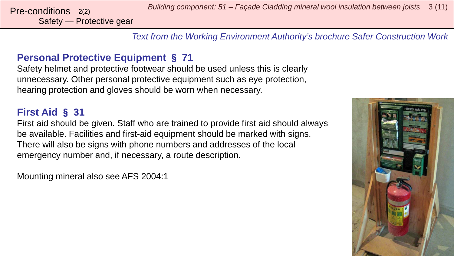Safety — Protective gear

*Building component: 51 – Façade Cladding mineral wool insulation between joists* <sup>3</sup> (11) Pre-conditions 2(2)

*Text from the Working Environment Authority's brochure Safer Construction Work*

## **Personal Protective Equipment** § **71**

Safety helmet and protective footwear should be used unless this is clearly unnecessary. Other personal protective equipment such as eye protection, hearing protection and gloves should be worn when necessary.

## **First Aid** § **31**

First aid should be given. Staff who are trained to provide first aid should always be available. Facilities and first-aid equipment should be marked with signs. There will also be signs with phone numbers and addresses of the local emergency number and, if necessary, a route description.

Mounting mineral also see AFS 2004:1

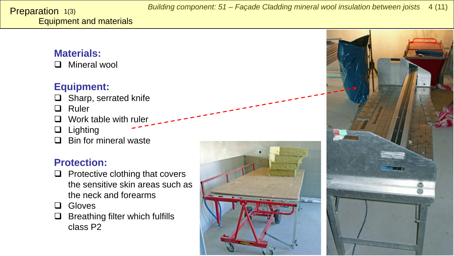## <span id="page-3-0"></span>**Materials:**

**Q** Mineral wool

## **Equipment:**

- $\Box$  Sharp, serrated knife
- **Q** Ruler
- $\Box$  Work table with ruler
- $\Box$  Lighting
- $\Box$  Bin for mineral waste

## **Protection:**

- $\Box$  Protective clothing that covers the sensitive skin areas such as the neck and forearms
- **Q** Gloves
- $\Box$  Breathing filter which fulfills class P2



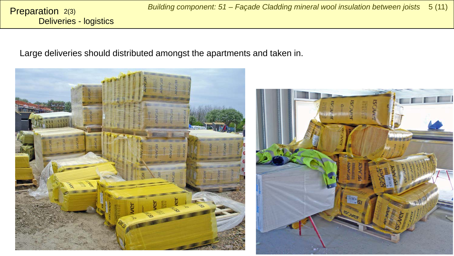Large deliveries should distributed amongst the apartments and taken in.



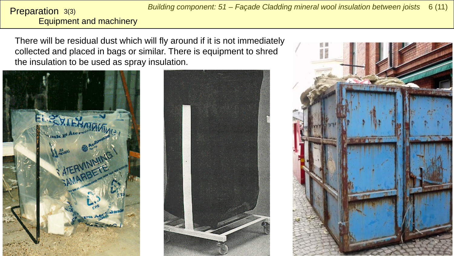## Equipment and machinery Preparation 3(3)

There will be residual dust which will fly around if it is not immediately collected and placed in bags or similar. There is equipment to shred the insulation to be used as spray insulation.





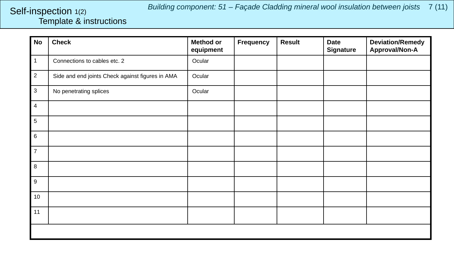## <span id="page-6-0"></span>Template & instructions Self-inspection 1(2)

| No             | <b>Check</b>                                     | <b>Method or</b><br>equipment | Frequency | <b>Result</b> | <b>Date</b><br><b>Signature</b> | <b>Deviation/Remedy</b><br>Approval/Non-A |
|----------------|--------------------------------------------------|-------------------------------|-----------|---------------|---------------------------------|-------------------------------------------|
| $\mathbf{1}$   | Connections to cables etc. 2                     | Ocular                        |           |               |                                 |                                           |
| $\overline{2}$ | Side and end joints Check against figures in AMA | Ocular                        |           |               |                                 |                                           |
| $\mathbf{3}$   | No penetrating splices                           | Ocular                        |           |               |                                 |                                           |
| 4              |                                                  |                               |           |               |                                 |                                           |
| 5              |                                                  |                               |           |               |                                 |                                           |
| 6              |                                                  |                               |           |               |                                 |                                           |
| $\overline{7}$ |                                                  |                               |           |               |                                 |                                           |
| 8              |                                                  |                               |           |               |                                 |                                           |
| 9              |                                                  |                               |           |               |                                 |                                           |
| $10$           |                                                  |                               |           |               |                                 |                                           |
| 11             |                                                  |                               |           |               |                                 |                                           |
|                |                                                  |                               |           |               |                                 |                                           |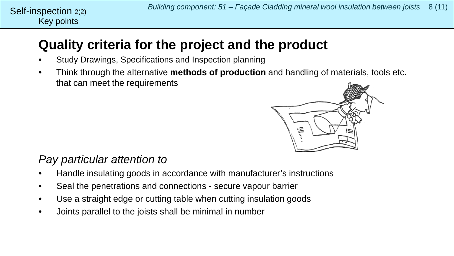## **Quality criteria for the project and the product**

- Study Drawings, Specifications and Inspection planning
- Think through the alternative **methods of production** and handling of materials, tools etc. that can meet the requirements



## *Pay particular attention to*

- Handle insulating goods in accordance with manufacturer's instructions
- Seal the penetrations and connections secure vapour barrier
- Use a straight edge or cutting table when cutting insulation goods
- Joints parallel to the joists shall be minimal in number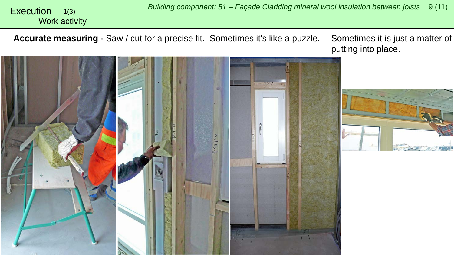<span id="page-8-0"></span>*Building component: 51 – Façade Cladding mineral wool insulation between joists* <sup>9</sup> (11) Execution Work activity 1(3)

**Accurate measuring -** Saw / cut for a precise fit. Sometimes it's like a puzzle. Sometimes it is just a matter of

putting into place.

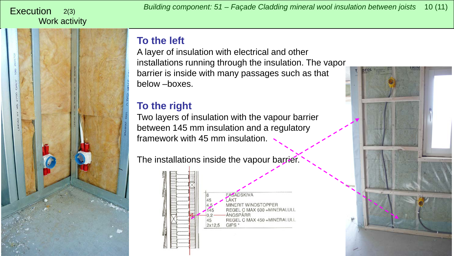### 2(3) Work activity

## **To the left**

A layer of insulation with electrical and other installations running through the insulation. The vapor barrier is inside with many passages such as that below –boxes.

## **To the right**

Two layers of insulation with the vapour barrier between 145 mm insulation and a regulatory framework with 45 mm insulation.

The installations inside the vapour barrier.